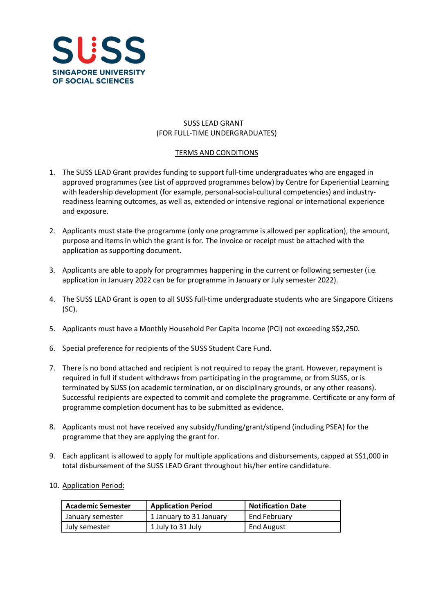

# SUSS LEAD GRANT (FOR FULL-TIME UNDERGRADUATES)

### TERMS AND CONDITIONS

- 1. The SUSS LEAD Grant provides funding to support full-time undergraduates who are engaged in approved programmes (see List of approved programmes below) by Centre for Experiential Learning with leadership development (for example, personal-social-cultural competencies) and industryreadiness learning outcomes, as well as, extended or intensive regional or international experience and exposure.
- 2. Applicants must state the programme (only one programme is allowed per application), the amount, purpose and items in which the grant is for. The invoice or receipt must be attached with the application as supporting document.
- 3. Applicants are able to apply for programmes happening in the current or following semester (i.e. application in January 2022 can be for programme in January or July semester 2022).
- 4. The SUSS LEAD Grant is open to all SUSS full-time undergraduate students who are Singapore Citizens (SC).
- 5. Applicants must have a Monthly Household Per Capita Income (PCI) not exceeding S\$2,250.
- 6. Special preference for recipients of the SUSS Student Care Fund.
- 7. There is no bond attached and recipient is not required to repay the grant. However, repayment is required in full if student withdraws from participating in the programme, or from SUSS, or is terminated by SUSS (on academic termination, or on disciplinary grounds, or any other reasons). Successful recipients are expected to commit and complete the programme. Certificate or any form of programme completion document has to be submitted as evidence.
- 8. Applicants must not have received any subsidy/funding/grant/stipend (including PSEA) for the programme that they are applying the grant for.
- 9. Each applicant is allowed to apply for multiple applications and disbursements, capped at S\$1,000 in total disbursement of the SUSS LEAD Grant throughout his/her entire candidature.
- 10. Application Period:

| <b>Academic Semester</b> | <b>Application Period</b> | Notification Date |
|--------------------------|---------------------------|-------------------|
| January semester         | 1 January to 31 January   | End February      |
| July semester            | 1 July to 31 July         | <b>End August</b> |